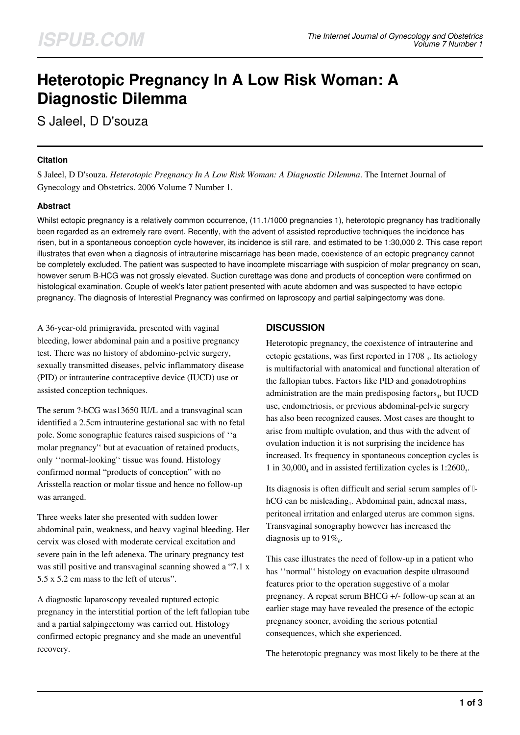# **Heterotopic Pregnancy In A Low Risk Woman: A Diagnostic Dilemma**

S Jaleel, D D'souza

### **Citation**

S Jaleel, D D'souza. *Heterotopic Pregnancy In A Low Risk Woman: A Diagnostic Dilemma*. The Internet Journal of Gynecology and Obstetrics. 2006 Volume 7 Number 1.

## **Abstract**

Whilst ectopic pregnancy is a relatively common occurrence, (11.1/1000 pregnancies 1), heterotopic pregnancy has traditionally been regarded as an extremely rare event. Recently, with the advent of assisted reproductive techniques the incidence has risen, but in a spontaneous conception cycle however, its incidence is still rare, and estimated to be 1:30,000 2. This case report illustrates that even when a diagnosis of intrauterine miscarriage has been made, coexistence of an ectopic pregnancy cannot be completely excluded. The patient was suspected to have incomplete miscarriage with suspicion of molar pregnancy on scan, however serum B-HCG was not grossly elevated. Suction curettage was done and products of conception were confirmed on histological examination. Couple of week's later patient presented with acute abdomen and was suspected to have ectopic pregnancy. The diagnosis of Interestial Pregnancy was confirmed on laproscopy and partial salpingectomy was done.

A 36-year-old primigravida, presented with vaginal bleeding, lower abdominal pain and a positive pregnancy test. There was no history of abdomino-pelvic surgery, sexually transmitted diseases, pelvic inflammatory disease (PID) or intrauterine contraceptive device (IUCD) use or assisted conception techniques.

The serum ?-hCG was13650 IU/L and a transvaginal scan identified a 2.5cm intrauterine gestational sac with no fetal pole. Some sonographic features raised suspicions of ''a molar pregnancy'' but at evacuation of retained products, only ''normal-looking'' tissue was found. Histology confirmed normal "products of conception" with no Arisstella reaction or molar tissue and hence no follow-up was arranged.

Three weeks later she presented with sudden lower abdominal pain, weakness, and heavy vaginal bleeding. Her cervix was closed with moderate cervical excitation and severe pain in the left adenexa. The urinary pregnancy test was still positive and transvaginal scanning showed a "7.1 x 5.5 x 5.2 cm mass to the left of uterus".

A diagnostic laparoscopy revealed ruptured ectopic pregnancy in the interstitial portion of the left fallopian tube and a partial salpingectomy was carried out. Histology confirmed ectopic pregnancy and she made an uneventful recovery.

## **DISCUSSION**

Heterotopic pregnancy, the coexistence of intrauterine and ectopic gestations, was first reported in 1708  $_3$ . Its aetiology is multifactorial with anatomical and functional alteration of the fallopian tubes. Factors like PID and gonadotrophins administration are the main predisposing factors $_4$ , but IUCD use, endometriosis, or previous abdominal-pelvic surgery has also been recognized causes. Most cases are thought to arise from multiple ovulation, and thus with the advent of ovulation induction it is not surprising the incidence has increased. Its frequency in spontaneous conception cycles is 1 in 30,000 $_4$  and in assisted fertilization cycles is 1:2600 $_5$ .

Its diagnosis is often difficult and serial serum samples of βhCG can be misleading<sub>1</sub>. Abdominal pain, adnexal mass, peritoneal irritation and enlarged uterus are common signs. Transvaginal sonography however has increased the diagnosis up to  $91\%$ .

This case illustrates the need of follow-up in a patient who has ''normal'' histology on evacuation despite ultrasound features prior to the operation suggestive of a molar pregnancy. A repeat serum BHCG +/- follow-up scan at an earlier stage may have revealed the presence of the ectopic pregnancy sooner, avoiding the serious potential consequences, which she experienced.

The heterotopic pregnancy was most likely to be there at the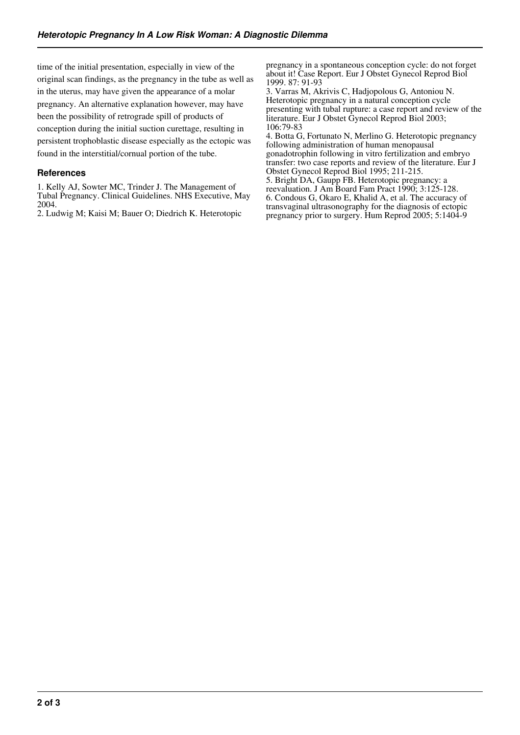time of the initial presentation, especially in view of the original scan findings, as the pregnancy in the tube as well as in the uterus, may have given the appearance of a molar pregnancy. An alternative explanation however, may have been the possibility of retrograde spill of products of conception during the initial suction curettage, resulting in persistent trophoblastic disease especially as the ectopic was found in the interstitial/cornual portion of the tube.

### **References**

1. Kelly AJ, Sowter MC, Trinder J. The Management of Tubal Pregnancy. Clinical Guidelines. NHS Executive, May 2004.

2. Ludwig M; Kaisi M; Bauer O; Diedrich K. Heterotopic

pregnancy in a spontaneous conception cycle: do not forget about it! Case Report. Eur J Obstet Gynecol Reprod Biol 1999. 87: 91-93

3. Varras M, Akrivis C, Hadjopolous G, Antoniou N. Heterotopic pregnancy in a natural conception cycle presenting with tubal rupture: a case report and review of the literature. Eur J Obstet Gynecol Reprod Biol 2003; 106:79-83

4. Botta G, Fortunato N, Merlino G. Heterotopic pregnancy following administration of human menopausal gonadotrophin following in vitro fertilization and embryo transfer: two case reports and review of the literature. Eur J Obstet Gynecol Reprod Biol 1995; 211-215.

5. Bright DA, Gaupp FB. Heterotopic pregnancy: a reevaluation. J Am Board Fam Pract 1990; 3:125-128. 6. Condous G, Okaro E, Khalid A, et al. The accuracy of transvaginal ultrasonography for the diagnosis of ectopic pregnancy prior to surgery. Hum Reprod 2005; 5:1404-9